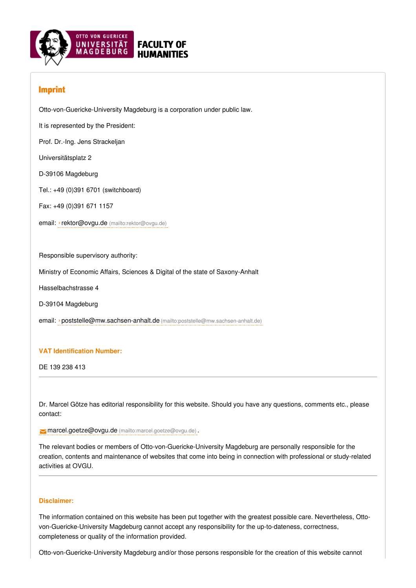

# Imprint

Otto-von-Guericke-University Magdeburg is a corporation under public law.

It is represented by the President:

Prof. Dr.-Ing. Jens Strackeljan

Universitätsplatz 2

D-39106 Magdeburg

Tel.: +49 (0)391 6701 (switchboard)

Fax: +49 (0)391 671 1157

email: ›rektor@ovgu.de [\(mailto:rektor@ovgu.de\)](mailto:rektor@ovgu.de)

Responsible supervisory authority:

Ministry of Economic Affairs, Sciences & Digital of the state of Saxony-Anhalt

Hasselbachstrasse 4

D-39104 Magdeburg

email: ›[poststelle@mw.sachsen-anhalt.de](mailto:poststelle@mw.sachsen-anhalt.de) (mailto:poststelle@mw.sachsen-anhalt.de)

# **VAT Identification Number:**

DE 139 238 413

Dr. Marcel Götze has editorial responsibility for this website. Should you have any questions, comments etc., please contact:

[marcel.goetze@ovgu.de](mailto:marcel.goetze@ovgu.de) (mailto:marcel.goetze@ovgu.de) .

The relevant bodies or members of Otto-von-Guericke-University Magdeburg are personally responsible for the creation, contents and maintenance of websites that come into being in connection with professional or study-related activities at OVGU.

# **Disclaimer:**

The information contained on this website has been put together with the greatest possible care. Nevertheless, Ottovon-Guericke-University Magdeburg cannot accept any responsibility for the up-to-dateness, correctness, completeness or quality of the information provided.

Otto-von-Guericke-University Magdeburg and/or those persons responsible for the creation of this website cannot